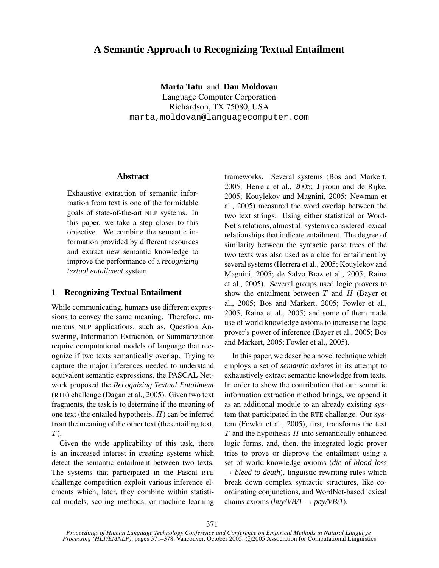# **A Semantic Approach to Recognizing Textual Entailment**

**Marta Tatu** and **Dan Moldovan** Language Computer Corporation Richardson, TX 75080, USA marta,moldovan@languagecomputer.com

## **Abstract**

Exhaustive extraction of semantic information from text is one of the formidable goals of state-of-the-art NLP systems. In this paper, we take a step closer to this objective. We combine the semantic information provided by different resources and extract new semantic knowledge to improve the performance of a *recognizing textual entailment* system.

# **1 Recognizing Textual Entailment**

While communicating, humans use different expressions to convey the same meaning. Therefore, numerous NLP applications, such as, Question Answering, Information Extraction, or Summarization require computational models of language that recognize if two texts semantically overlap. Trying to capture the major inferences needed to understand equivalent semantic expressions, the PASCAL Network proposed the *Recognizing Textual Entailment* (RTE) challenge (Dagan et al., 2005). Given two text fragments, the task is to determine if the meaning of one text (the entailed hypothesis,  $H$ ) can be inferred from the meaning of the other text (the entailing text,  $T$ ).

Given the wide applicability of this task, there is an increased interest in creating systems which detect the semantic entailment between two texts. The systems that participated in the Pascal RTE challenge competition exploit various inference elements which, later, they combine within statistical models, scoring methods, or machine learning

frameworks. Several systems (Bos and Markert, 2005; Herrera et al., 2005; Jijkoun and de Rijke, 2005; Kouylekov and Magnini, 2005; Newman et al., 2005) measured the word overlap between the two text strings. Using either statistical or Word-Net's relations, almost all systems considered lexical relationships that indicate entailment. The degree of similarity between the syntactic parse trees of the two texts was also used as a clue for entailment by several systems(Herrera et al., 2005; Kouylekov and Magnini, 2005; de Salvo Braz et al., 2005; Raina et al., 2005). Several groups used logic provers to show the entailment between  $T$  and  $H$  (Bayer et al., 2005; Bos and Markert, 2005; Fowler et al., 2005; Raina et al., 2005) and some of them made use of world knowledge axioms to increase the logic prover's power of inference (Bayer et al., 2005; Bos and Markert, 2005; Fowler et al., 2005).

In this paper, we describe a novel technique which employs a set of *semantic axioms* in its attempt to exhaustively extract semantic knowledge from texts. In order to show the contribution that our semantic information extraction method brings, we append it as an additional module to an already existing system that participated in the RTE challenge. Our system (Fowler et al., 2005), first, transforms the text  $T$  and the hypothesis  $H$  into semantically enhanced logic forms, and, then, the integrated logic prover tries to prove or disprove the entailment using a set of world-knowledge axioms (*die of blood loss*  $\rightarrow$  *bleed to death*), linguistic rewriting rules which break down complex syntactic structures, like coordinating conjunctions, and WordNet-based lexical chains axioms  $(buv/VB/I \rightarrow pay/VB/I)$ .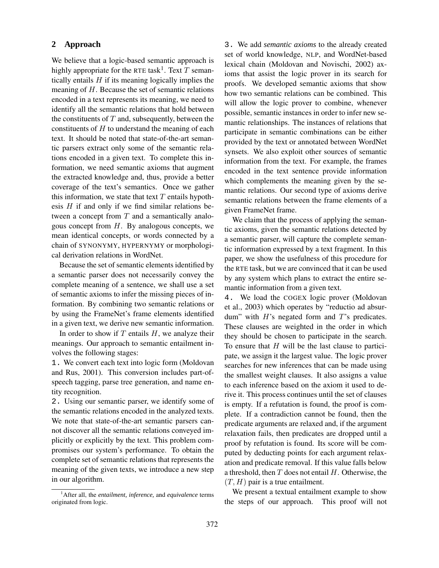## **2 Approach**

We believe that a logic-based semantic approach is highly appropriate for the RTE task<sup>1</sup>. Text T semantically entails  $H$  if its meaning logically implies the meaning of  $H$ . Because the set of semantic relations encoded in a text represents its meaning, we need to identify all the semantic relations that hold between the constituents of  $T$  and, subsequently, between the constituents of  $H$  to understand the meaning of each text. It should be noted that state-of-the-art semantic parsers extract only some of the semantic relations encoded in a given text. To complete this information, we need semantic axioms that augment the extracted knowledge and, thus, provide a better coverage of the text's semantics. Once we gather this information, we state that text  $T$  entails hypothesis  $H$  if and only if we find similar relations between a concept from  $T$  and a semantically analogous concept from  $H$ . By analogous concepts, we mean identical concepts, or words connected by a chain of SYNONYMY, HYPERNYMY or morphological derivation relations in WordNet.

Because the set of semantic elements identified by a semantic parser does not necessarily convey the complete meaning of a sentence, we shall use a set of semantic axioms to infer the missing pieces of information. By combining two semantic relations or by using the FrameNet's frame elements identified in a given text, we derive new semantic information.

In order to show if  $T$  entails  $H$ , we analyze their meanings. Our approach to semantic entailment involves the following stages:

1. We convert each text into logic form (Moldovan and Rus, 2001). This conversion includes part-ofspeech tagging, parse tree generation, and name entity recognition.

2. Using our semantic parser, we identify some of the semantic relations encoded in the analyzed texts. We note that state-of-the-art semantic parsers cannot discover all the semantic relations conveyed implicitly or explicitly by the text. This problem compromises our system's performance. To obtain the complete set of semantic relations that represents the meaning of the given texts, we introduce a new step in our algorithm.

3. We add *semantic axioms* to the already created set of world knowledge, NLP, and WordNet-based lexical chain (Moldovan and Novischi, 2002) axioms that assist the logic prover in its search for proofs. We developed semantic axioms that show how two semantic relations can be combined. This will allow the logic prover to combine, whenever possible, semantic instances in order to infer new semantic relationships. The instances of relations that participate in semantic combinations can be either provided by the text or annotated between WordNet synsets. We also exploit other sources of semantic information from the text. For example, the frames encoded in the text sentence provide information which complements the meaning given by the semantic relations. Our second type of axioms derive semantic relations between the frame elements of a given FrameNet frame.

We claim that the process of applying the semantic axioms, given the semantic relations detected by a semantic parser, will capture the complete semantic information expressed by a text fragment. In this paper, we show the usefulness of this procedure for the RTE task, but we are convinced that it can be used by any system which plans to extract the entire semantic information from a given text.

4. We load the COGEX logic prover (Moldovan et al., 2003) which operates by "reductio ad absurdum" with  $H$ 's negated form and  $T$ 's predicates. These clauses are weighted in the order in which they should be chosen to participate in the search. To ensure that  $H$  will be the last clause to participate, we assign it the largest value. The logic prover searches for new inferences that can be made using the smallest weight clauses. It also assigns a value to each inference based on the axiom it used to derive it. This process continues until the set of clauses is empty. If a refutation is found, the proof is complete. If a contradiction cannot be found, then the predicate arguments are relaxed and, if the argument relaxation fails, then predicates are dropped until a proof by refutation is found. Its score will be computed by deducting points for each argument relaxation and predicate removal. If this value falls below a threshold, then  $T$  does not entail  $H$ . Otherwise, the  $(T, H)$  pair is a true entailment.

We present a textual entailment example to show the steps of our approach. This proof will not

<sup>1</sup>After all, the *entailment, inference,* and *equivalence* terms originated from logic.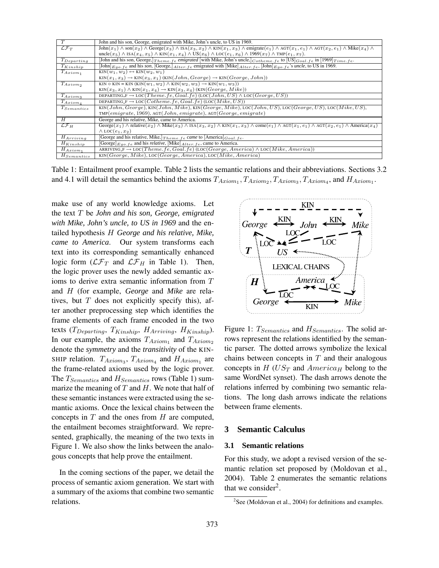| T                      | John and his son, George, emigrated with Mike, John's uncle, to US in 1969.                                                                                                                                                                    |
|------------------------|------------------------------------------------------------------------------------------------------------------------------------------------------------------------------------------------------------------------------------------------|
| $\mathcal{LF}_T$       | $\text{John}(x_1) \wedge \text{son}(x_2) \wedge \text{George}(x_3) \wedge \text{ISA}(x_3, x_2) \wedge \text{KIN}(x_1, x_3) \wedge \text{emigrate}(e_1) \wedge \text{AGT}(x_1, e_1) \wedge \text{AGT}(x_2, e_1) \wedge \text{Mike}(x_4) \wedge$ |
|                        | $uncle(x_5) \wedge \text{ISA}(x_4, x_5) \wedge \text{KIN}(x_1, x_4) \wedge \text{US}(x_6) \wedge \text{LOC}(e_1, x_6) \wedge 1969(x_7) \wedge \text{IMP}(e_1, x_7).$                                                                           |
| $T_{Department}$       | [John and his son, George, $T_{heme.fe}$ emigrated [with Mike, John's uncle, $C_{otherne.fe}$ to $[US]_{Goal.fe}$ in $[1969]_{Time.fe}$ .                                                                                                      |
| $T_{Kinship}$          | [John] $E_{qo.fe}$ and his son, [George,] $_{After,fe}$ emigrated with [Mike] $_{After,fe}$ , [John] $E_{qo.fe}$ 's uncle, to US in 1969.                                                                                                      |
| $T_{Axiom_1}$          | $\text{KIN}(w_1, w_2) \leftrightarrow \text{KIN}(w_2, w_1)$                                                                                                                                                                                    |
|                        | $KIN(x_1, x_3) \rightarrow KIN(x_3, x_1) (KIN(John, George) \rightarrow KIN(George, John))$                                                                                                                                                    |
| $T_{Axiom_2}$          | KIN $\circ$ KIN = KIN $(KIN(w_1, w_2) \wedge KIN(w_2, w_3) \rightarrow KIN(w_1, w_3))$                                                                                                                                                         |
|                        | $\text{KIN}(x_3, x_1) \wedge \text{KIN}(x_1, x_4) \rightarrow \text{KIN}(x_3, x_4)$ (KIN(George, Mike))                                                                                                                                        |
| $T_{Axiom}$            | DEPARTING $F \to \text{LOC}(Theme.fe, Goal.fe)$ (LOC(John, US) $\land$ LOC(George, US))                                                                                                                                                        |
| $T_{Axiom_4}$          | DEPARTING $F \to \text{LOC}(Cotherne, fe, Goal, fe)$ (LOC( <i>Mike, US</i> ))                                                                                                                                                                  |
| $T_{Semantics}$        | $KIN(John, George), KIN(John, Mike), KIN(George, Mike), LOC(John, US), LOC(George, US), LOC(Mike, US),$                                                                                                                                        |
|                        | $\text{TMP}(emigrate, 1969), \text{AGT}(John, emigrate), \text{AGT}(George, emigrate)$                                                                                                                                                         |
| H                      | George and his relative, Mike, came to America.                                                                                                                                                                                                |
| $\mathcal{LF}_H$       | George $(x_1) \wedge$ relative $(x_2) \wedge$ Mike $(x_3) \wedge$ ISA $(x_3, x_2) \wedge$ KIN $(x_1, x_3) \wedge$ come $(e_1) \wedge$ AGT $(x_1, e_1) \wedge$ AGT $(x_2, e_1) \wedge$ America $(x_4)$                                          |
|                        | $\wedge$ LOC $(e_1, x_2)$                                                                                                                                                                                                                      |
| $H_{Arriving}$         | [George and his relative, Mike,] $The$ me. $fe$ came to [America] $Goal. fe$ .                                                                                                                                                                 |
| $H_{Kinship}$          | $[George]_{Eao.fe}$ and his <i>relative</i> , [Mike] $_{After.fe}$ , came to America.                                                                                                                                                          |
| $H_{Axiom_1}$          | ARRIVING $F \to \text{LOC}(Theme. fe, Goal. fe)$ (LOC(George, America) $\land \text{LOC}(Mike, America)$ )                                                                                                                                     |
| H <sub>Semantics</sub> | $KIN(George, Mike), LOC(George, America), LOC(\overline{Mike}, America)$                                                                                                                                                                       |

Table 1: Entailment proof example. Table 2 lists the semantic relations and their abbreviations. Sections 3.2 and 4.1 will detail the semantics behind the axioms  $T_{Axiom_1}, T_{Axiom_2}, T_{Axiom_3}, T_{Axiom_4}$ , and  $H_{Axiom_1}$ .

make use of any world knowledge axioms. Let the text T be *John and his son, George, emigrated with Mike, John's uncle, to US in 1969* and the entailed hypothesis H *George and his relative, Mike, came to America*. Our system transforms each text into its corresponding semantically enhanced logic form  $(\mathcal{LF}_T$  and  $\mathcal{LF}_H$  in Table 1). Then, the logic prover uses the newly added semantic axioms to derive extra semantic information from T and H (for example, *George* and *Mike* are relatives, but  $T$  does not explicitly specify this), after another preprocessing step which identifies the frame elements of each frame encoded in the two texts ( $T_{Department}$ ,  $T_{Kinship}$ ,  $H_{Arriving}$ ,  $H_{Kinship}$ ). In our example, the axioms  $T_{Axiom_1}$  and  $T_{Axiom_2}$ denote the *symmetry* and the *transitivity* of the KIN-SHIP relation.  $T_{Axiom_3}$ ,  $T_{Axiom_4}$  and  $H_{Axiom_1}$  are the frame-related axioms used by the logic prover. The  $T_{Semantics}$  and  $H_{Semantics}$  rows (Table 1) summarize the meaning of  $T$  and  $H$ . We note that half of these semantic instances were extracted using the semantic axioms. Once the lexical chains between the concepts in  $T$  and the ones from  $H$  are computed, the entailment becomes straightforward. We represented, graphically, the meaning of the two texts in Figure 1. We also show the links between the analogous concepts that help prove the entailment.

In the coming sections of the paper, we detail the process of semantic axiom generation. We start with a summary of the axioms that combine two semantic relations.



Figure 1:  $T_{Semantics}$  and  $H_{Semantics}$ . The solid arrows represent the relations identified by the semantic parser. The dotted arrows symbolize the lexical chains between concepts in  $T$  and their analogous concepts in  $H$  (US<sub>T</sub> and America<sub>H</sub> belong to the same WordNet synset). The dash arrows denote the relations inferred by combining two semantic relations. The long dash arrows indicate the relations between frame elements.

# **3 Semantic Calculus**

## **3.1 Semantic relations**

For this study, we adopt a revised version of the semantic relation set proposed by (Moldovan et al., 2004). Table 2 enumerates the semantic relations that we consider<sup>2</sup>.

<sup>&</sup>lt;sup>2</sup>See (Moldovan et al., 2004) for definitions and examples.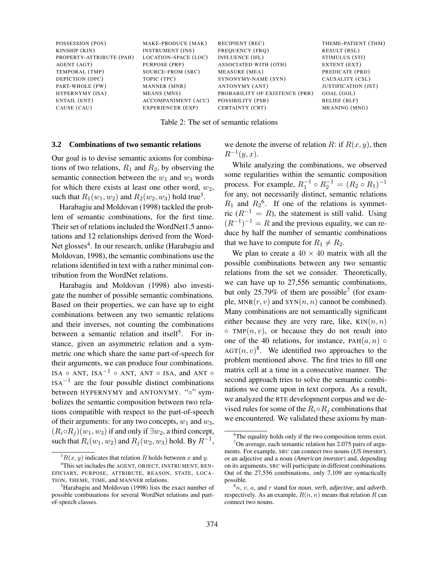| POSSESSION (POS)         | MAKE-PRODUCE (MAK)          | <b>RECIPIENT (REC)</b>         | THEME-PATIENT (THM)        |
|--------------------------|-----------------------------|--------------------------------|----------------------------|
| KINSHIP (KIN)            | <b>INSTRUMENT (INS)</b>     | FREQUENCY (FRO)                | RESULT (RSL)               |
| PROPERTY-ATTRIBUTE (PAH) | <b>LOCATION-SPACE (LOC)</b> | INFLUENCE (IFL)                | STIMULUS (STI)             |
| AGENT (AGT)              | PURPOSE (PRP)               | ASSOCIATED WITH (OTH)          | EXTENT (EXT)               |
| TEMPORAL (TMP)           | SOURCE-FROM (SRC)           | MEASURE (MEA)                  | PREDICATE (PRD)            |
| DEPICTION (DPC)          | TOPIC (TPC)                 | SYNONYMY-NAME (SYN)            | CAUSALITY (CSL)            |
| PART-WHOLE (PW)          | MANNER (MNR)                | ANTONYMY (ANT)                 | <b>JUSTIFICATION</b> (JST) |
| HYPERNYMY (ISA)          | MEANS (MNS)                 | PROBABILITY OF EXISTENCE (PRB) | GOAL (GOL)                 |
| ENTAIL (ENT)             | <b>ACCOMPANIMENT</b> (ACC)  | POSSIBILITY (PSB)              | <b>BELIEF</b> (BLF)        |
| CAUSE (CAU)              | EXPERIENCER (EXP)           | CERTAINTY (CRT)                | MEANING (MNG)              |
|                          |                             |                                |                            |

Table 2: The set of semantic relations

#### **3.2 Combinations of two semantic relations**

Our goal is to devise semantic axioms for combinations of two relations,  $R_1$  and  $R_2$ , by observing the semantic connection between the  $w_1$  and  $w_3$  words for which there exists at least one other word,  $w_2$ , such that  $R_1(w_1, w_2)$  and  $R_2(w_2, w_3)$  hold true<sup>3</sup>.

Harabagiu and Moldovan (1998) tackled the problem of semantic combinations, for the first time. Their set of relations included the WordNet1.5 annotations and 12 relationships derived from the Word-Net glosses<sup>4</sup>. In our research, unlike (Harabagiu and Moldovan, 1998), the semantic combinations use the relations identified in text with a rather minimal contribution from the WordNet relations.

Harabagiu and Moldovan (1998) also investigate the number of possible semantic combinations. Based on their properties, we can have up to eight combinations between any two semantic relations and their inverses, not counting the combinations between a semantic relation and itself<sup>5</sup>. For instance, given an asymmetric relation and a symmetric one which share the same part-of-speech for their arguments, we can produce four combinations. ISA  $\circ$  ANT, ISA<sup>-1</sup>  $\circ$  ANT, ANT  $\circ$  ISA, and ANT  $\circ$  $ISA^{-1}$  are the four possible distinct combinations between HYPERNYMY and ANTONYMY. "o" symbolizes the semantic composition between two relations compatible with respect to the part-of-speech of their arguments: for any two concepts,  $w_1$  and  $w_3$ ,  $(R_i \circ R_j)(w_1, w_3)$  if and only if  $\exists w_2$ , a third concept, such that  $R_i(w_1, w_2)$  and  $R_j(w_2, w_3)$  hold. By  $R^{-1}$ ,

we denote the inverse of relation R: if  $R(x, y)$ , then  $R^{-1}(y, x)$ .

While analyzing the combinations, we observed some regularities within the semantic composition process. For example,  $R_1^{-1} \circ R_2^{-1} = (R_2 \circ R_1)^{-1}$ for any, not necessarily distinct, semantic relations  $R_1$  and  $R_2$ <sup>6</sup>. If one of the relations is symmetric ( $R^{-1} = R$ ), the statement is still valid. Using  $(R^{-1})^{-1} = R$  and the previous equality, we can reduce by half the number of semantic combinations that we have to compute for  $R_1 \neq R_2$ .

We plan to create a  $40 \times 40$  matrix with all the possible combinations between any two semantic relations from the set we consider. Theoretically, we can have up to 27,556 semantic combinations, but only 25.79% of them are possible<sup>7</sup> (for example,  $MNR(r, v)$  and  $SYN(n, n)$  cannot be combined). Many combinations are not semantically significant either because they are very rare, like,  $KIN(n, n)$  $\circ$  TMP $(n, v)$ , or because they do not result into one of the 40 relations, for instance,  $PAH(a, n)$   $\circ$ AGT $(n, v)^8$ . We identified two approaches to the problem mentioned above. The first tries to fill one matrix cell at a time in a consecutive manner. The second approach tries to solve the semantic combinations we come upon in text corpora. As a result, we analyzed the RTE development corpus and we devised rules for some of the  $R_i \circ R_j$  combinations that we encountered. We validated these axioms by man-

 ${}^{3}R(x, y)$  indicates that relation R holds between x and y.

<sup>&</sup>lt;sup>4</sup>This set includes the AGENT, OBJECT, INSTRUMENT, BEN-EFICIARY, PURPOSE, ATTRIBUTE, REASON, STATE, LOCA-TION, THEME, TIME, and MANNER relations.

<sup>5</sup>Harabagiu and Moldovan (1998) lists the exact number of possible combinations for several WordNet relations and partof-speech classes.

<sup>&</sup>lt;sup>6</sup>The equality holds only if the two composition terms exist.

 $7$ On average, each semantic relation has 2.075 pairs of arguments. For example, SRC can connect two nouns (*US investor*), or an adjective and a noun (*American investor*) and, depending on its arguments, SRC will participate in different combinations. Out of the 27,556 combinations, only 7,109 are syntactically possible.

<sup>8</sup>n, v, a, and r stand for *noun*, *verb*, *adjective*, and *adverb*, respectively. As an example,  $R(n, n)$  means that relation R can connect two nouns.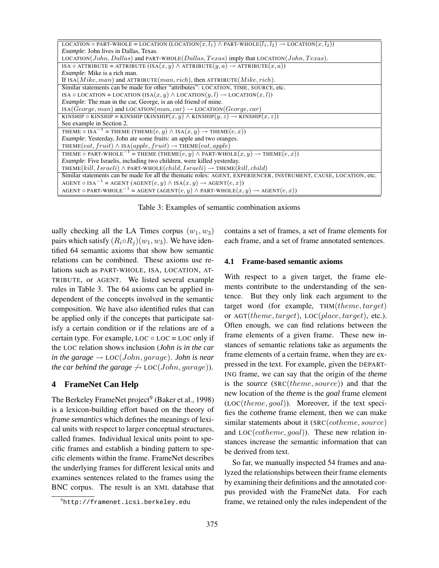| LOCATION $\circ$ PART-WHOLE = LOCATION (LOCATION $(x, l_1) \wedge$ PART-WHOLE $(l_1, l_2) \rightarrow$ LOCATION $(x, l_2)$ ) |
|------------------------------------------------------------------------------------------------------------------------------|
| <i>Example</i> : John lives in Dallas, Texas.                                                                                |
| LOCATION(John, Dallas) and PART-WHOLE(Dallas, Texas) imply that LOCATION(John, Texas).                                       |
| ISA $\circ$ ATTRIBUTE = ATTRIBUTE (ISA $(x, y)$ ) $\land$ ATTRIBUTE $(y, a) \rightarrow$ ATTRIBUTE $(x, a)$ )                |
| <i>Example</i> : Mike is a rich man.                                                                                         |
| If $\text{ISA}(Mike, man)$ and $\text{ATTRIBUTE}(man, rich)$ , then $\text{ATTRIBUTE}(Mike, rich)$ .                         |
| Similar statements can be made for other "attributes": LOCATION, TIME, SOURCE, etc.                                          |
| ISA $\circ$ LOCATION = LOCATION (ISA $(x, y) \wedge$ LOCATION $(y, l) \rightarrow$ LOCATION $(x, l)$ )                       |
| <i>Example</i> : The man in the car, George, is an old friend of mine.                                                       |
| $ISA(George, man)$ and $LocATION(max, car) \rightarrow LOCATION(George, car)$                                                |
| KINSHIP $\circ$ KINSHIP = KINSHIP (KINSHIP $(x, y) \wedge$ KINSHIP $(y, z) \rightarrow$ KINSHIP $(x, z)$ )                   |
| See example in Section 2.                                                                                                    |
| THEME $\circ$ ISA <sup>-1</sup> = THEME (THEME $(e, y) \wedge$ ISA $(x, y) \rightarrow$ THEME $(e, x)$ )                     |
| <i>Example:</i> Yesterday, John ate some fruits: an apple and two oranges.                                                   |
| THEME $(eat, fruit) \wedge$ ISA $(apple, fruit) \rightarrow$ THEME $(eat, apple)$                                            |
| THEME $\circ$ PART-WHOLE <sup>-1</sup> = THEME (THEME $(e, y) \wedge$ PART-WHOLE $(x, y) \rightarrow$ THEME $(e, x)$ )       |
| <i>Example</i> : Five Israelis, including two children, were killed yesterday.                                               |
| THEME(kill, $Israeli) \wedge PART-WHOLE(child, Israeli) \rightarrow THENE(kill, child)$                                      |
| Similar statements can be made for all the thematic roles: AGENT, EXPERIENCER, INSTRUMENT, CAUSE, LOCATION, etc.             |
| AGENT $\circ$ ISA <sup>-1</sup> = AGENT (AGENT $(e, y) \wedge$ ISA $(x, y) \rightarrow$ AGENT $(e, x)$ )                     |
| AGENT $\circ$ PART-WHOLE <sup>-1</sup> = AGENT (AGENT $(e, y) \wedge$ PART-WHOLE $(x, y) \rightarrow$ AGENT $(e, x)$ )       |

Table 3: Examples of semantic combination axioms

ually checking all the LA Times corpus  $(w_1, w_3)$ pairs which satisfy  $(R_i \circ R_j)(w_1, w_3)$ . We have identified 64 semantic axioms that show how semantic relations can be combined. These axioms use relations such as PART-WHOLE, ISA, LOCATION, AT-TRIBUTE, or AGENT. We listed several example rules in Table 3. The 64 axioms can be applied independent of the concepts involved in the semantic composition. We have also identified rules that can be applied only if the concepts that participate satisfy a certain condition or if the relations are of a certain type. For example,  $LOC \circ LOC = LOC$  only if the LOC relation shows inclusion (*John is in the car in the garage*  $\rightarrow$  LOC(*John, garage*). *John is near the car behind the garage*  $\rightarrow$  LOC(*John, garage*)).

## **4 FrameNet Can Help**

The Berkeley FrameNet project<sup>9</sup> (Baker et al., 1998) is a lexicon-building effort based on the theory of *frame semantics* which defines the meanings of lexical units with respect to larger conceptual structures, called frames. Individual lexical units point to specific frames and establish a binding pattern to specific elements within the frame. FrameNet describes the underlying frames for different lexical units and examines sentences related to the frames using the BNC corpus. The result is an XML database that contains a set of frames, a set of frame elements for each frame, and a set of frame annotated sentences.

### **4.1 Frame-based semantic axioms**

With respect to a given target, the frame elements contribute to the understanding of the sentence. But they only link each argument to the target word (for example,  $THM(theme, target)$ ) or  $AGT$ (*theme, target*),  $LOC(place, target)$ , etc.). Often enough, we can find relations between the frame elements of a given frame. These new instances of semantic relations take as arguments the frame elements of a certain frame, when they are expressed in the text. For example, given the DEPART-ING frame, we can say that the origin of the *theme* is the *source* (SRC(theme, source)) and that the new location of the *theme* is the *goal* frame element  $(LOC(theme, goal)$ ). Moreover, if the text specifies the *cotheme* frame element, then we can make similar statements about it (SRC(cotheme, source) and  $LOC(cotherne, goal)$ ). These new relation instances increase the semantic information that can be derived from text.

So far, we manually inspected 54 frames and analyzed the relationships between their frame elements by examining their definitions and the annotated corpus provided with the FrameNet data. For each frame, we retained only the rules independent of the

<sup>9</sup>http://framenet.icsi.berkeley.edu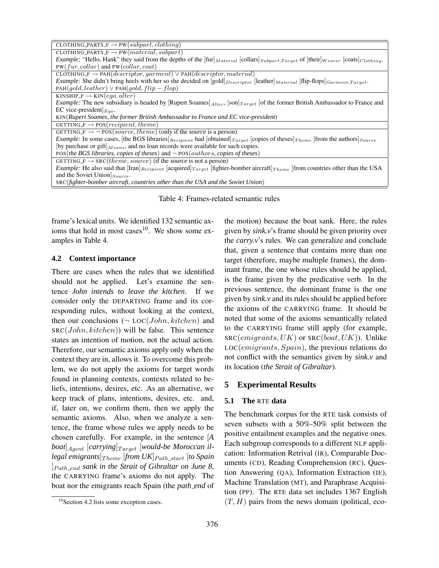| CLOTHING PARTS $F \to PW(subpart, clothing)$                                                                                                                                                  |
|-----------------------------------------------------------------------------------------------------------------------------------------------------------------------------------------------|
| CLOTHING PARTS $F \to PW(material, subpart)$                                                                                                                                                  |
| <i>Example:</i> "Hello, Hank" they said from the depths of the $f[\text{tur}]_{Material}$ [collars] $\text{Subpart}, \text{Target}$ of $[\text{their}]_{Wearer}$ [coats] $\text{Clotthing}$ . |
| $PW(fur, collar)$ and $PW(collar, coat)$                                                                                                                                                      |
| CLOTHING $F \to PAH$ ( <i>descriptor, garment</i> ) $\vee$ PAH ( <i>descriptor, material</i> )                                                                                                |
| Example: She didn't bring heels with her so she decided on [gold] $_{Descriptor}$ [leather] Material [flip-flops] Garment, Target.                                                            |
| $PAH(gold, leather) \vee PAH(gold, flip-flop)$                                                                                                                                                |
| KINSHIP $F \to$ KIN $(eqo, alter)$                                                                                                                                                            |
| <i>Example:</i> The new subsidiary is headed by [Rupert Soames] $_{After}$ , $[\text{son}]_{Target}$ [of the former British Ambassador to France and                                          |
| EC vice-president $E_{qo}$ .                                                                                                                                                                  |
| KIN(Rupert Soames, the former British Ambassador to France and EC vice-president)                                                                                                             |
| GETTING $F \rightarrow POS(recipient, theme)$                                                                                                                                                 |
| GETTING $\overline{F} \rightarrow \neg \text{POS}(source, theme)$ (only if the <i>source</i> is a person)                                                                                     |
| <i>Example:</i> In some cases, [the BGS libraries] $_{Recipient}$ had [obtained] $_{Target}$ [copies of theses] $_{The me}$ [from the authors] $_{Source}$                                    |
| [by purchase or gift] $_{Means}$ , and no loan records were available for such copies.                                                                                                        |
| POS(the BGS libraries, copies of theses) and $\neg$ POS(authors, copies of theses)                                                                                                            |
| GETTING $F \rightarrow \overline{SC}(theme, source)$ (if the <i>source</i> is not a person)                                                                                                   |
| <i>Example:</i> He also said that $\text{[Iran]}_{Recipient}$ [acquired] $_{Target}$ [fighter-bomber aircraft] $_{Theme}$ [from countries other than the USA                                  |
| and the Soviet Union $ _{Source}$ .                                                                                                                                                           |
| SRC(fighter-bomber aircraft, countries other than the USA and the Soviet Union)                                                                                                               |

Table 4: Frames-related semantic rules

frame's lexical units. We identified 132 semantic axioms that hold in most cases $10$ . We show some examples in Table 4.

## **4.2 Context importance**

There are cases when the rules that we identified should not be applied. Let's examine the sentence *John intends to leave the kitchen*. If we consider only the DEPARTING frame and its corresponding rules, without looking at the context, then our conclusions  $(\neg$  LOC(*John*, *kitchen*) and  $SRC(John, kitchen)$  will be false. This sentence states an intention of motion, not the actual action. Therefore, our semantic axioms apply only when the context they are in, allows it. To overcome this problem, we do not apply the axioms for target words found in planning contexts, contexts related to beliefs, intentions, desires, etc. As an alternative, we keep track of plans, intentions, desires, etc. and, if, later on, we confirm them, then we apply the semantic axioms. Also, when we analyze a sentence, the frame whose rules we apply needs to be chosen carefully. For example, in the sentence [*A*  $b$ *oat*]<sub>Agent</sub> [carrying] $T_{\text{arget}}$  [would-be Moroccan il- $\left[ \operatorname*{legal\ emigr} \right]_{Theme}\left[ \textit{from \textit{UK}} \right]_{Path\_start}\left[ \textit{to \textit{Spin}} \right]$ ]Path end *sank in the Strait of Gibraltar on June 8*, the CARRYING frame's axioms do not apply. The boat nor the emigrants reach Spain (the *path end* of the motion) because the boat sank. Here, the rules given by *sink.v*'s frame should be given priority over the *carry.v*'s rules. We can generalize and conclude that, given a sentence that contains more than one target (therefore, maybe multiple frames), the dominant frame, the one whose rules should be applied, is the frame given by the predicative verb. In the previous sentence, the dominant frame is the one given by *sink.v* and its rules should be applied before the axioms of the CARRYING frame. It should be noted that some of the axioms semantically related to the CARRYING frame still apply (for example,  $SRC(emigrams, UK)$  or  $SRC(boat, UK)$ ). Unlike LOC(emigrants, Spain), the previous relations do not conflict with the semantics given by *sink.v* and its location (*the Strait of Gibraltar*).

## **5 Experimental Results**

### **5.1 The** RTE **data**

The benchmark corpus for the RTE task consists of seven subsets with a 50%-50% split between the positive entailment examples and the negative ones. Each subgroup corresponds to a different NLP application: Information Retrival (IR), Comparable Documents (CD), Reading Comprehension (RC), Question Answering (QA), Information Extraction (IE), Machine Translation (MT), and Paraphrase Acquisition (PP). The RTE data set includes 1367 English  $(T, H)$  pairs from the news domain (political, eco-

 $10$ Section 4.2 lists some exception cases.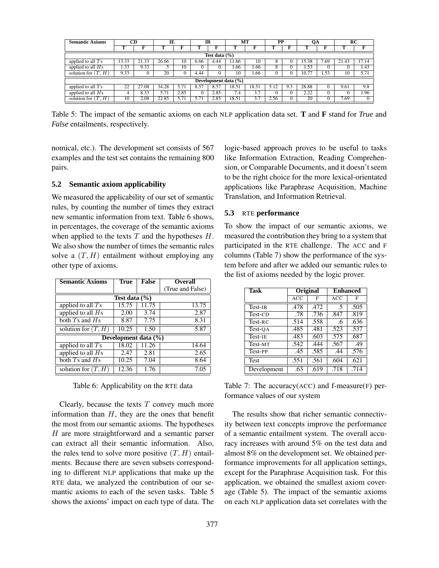| <b>Semantic Axioms</b> | <b>CD</b>            |          | IE    |      | IR   |      | МT    |       | PP   |     | OA     |      |       | RC    |
|------------------------|----------------------|----------|-------|------|------|------|-------|-------|------|-----|--------|------|-------|-------|
|                        |                      |          |       |      |      |      |       |       |      |     |        |      |       |       |
| Test data $(\% )$      |                      |          |       |      |      |      |       |       |      |     |        |      |       |       |
| applied to all $T_s$   | 13.33                | 21.33    | 26.66 | 10   | 6.66 | 4.44 | 1.66  | 10    |      |     | 15.38  | .69  | 21.43 | 17.14 |
| applied to all $Hs$    | 1.33                 | 9.33     |       | 10   |      |      | 1.66  | 1.66  |      |     | . . 53 | v    |       | 1.43  |
| solution for $(T, H)$  | 9.33                 | $\theta$ | 20    |      | 4.44 |      | 10    | . 66  |      |     | 10.77  | . 53 | 10    | 5.71  |
|                        | Development data (%) |          |       |      |      |      |       |       |      |     |        |      |       |       |
| applied to all $T_s$   | 22                   | 27.08    | 34.28 | 5.71 | 8.57 | 8.57 | 18.51 | 18.51 | 5.12 | 9.3 | 28.88  |      | 9.61  | 9.8   |
| applied to all $Hs$    |                      | 8.33     | 5.71  | 2.85 |      | 2.85 | 7.4   | 3.7   |      |     | 2.22   | 0    |       | 1.96  |
| solution for $(T, H)$  | 10                   | 2.08     | 22.85 | 5.71 | 5.71 | 2.85 | 18.51 | 3.7   | 2.56 |     | 20     | υ    | 7.69  |       |

Table 5: The impact of the semantic axioms on each NLP application data set. **T** and **F** stand for *True* and *False* entailments, respectively.

nomical, etc.). The development set consists of 567 examples and the test set contains the remaining 800 pairs.

### **5.2 Semantic axiom applicability**

We measured the applicability of our set of semantic rules, by counting the number of times they extract new semantic information from text. Table 6 shows, in percentages, the coverage of the semantic axioms when applied to the texts  $T$  and the hypotheses  $H$ . We also show the number of times the semantic rules solve a  $(T, H)$  entailment without employing any other type of axioms.

| <b>Semantic Axioms</b>                          | <b>True</b>                      | <b>False</b> | <b>Overall</b>   |  |  |  |  |  |  |
|-------------------------------------------------|----------------------------------|--------------|------------------|--|--|--|--|--|--|
|                                                 |                                  |              | (True and False) |  |  |  |  |  |  |
| Test data (%)                                   |                                  |              |                  |  |  |  |  |  |  |
| 15.75<br>11.75<br>13.75<br>applied to all $T_s$ |                                  |              |                  |  |  |  |  |  |  |
| applied to all $Hs$                             | 2.00                             | 3.74         | 2.87             |  |  |  |  |  |  |
| both $T_s$ and $H_s$                            | 8.87                             | 7.75         | 8.31             |  |  |  |  |  |  |
| solution for $(T, H)$                           | 10.25                            | 1.50         | 5.87             |  |  |  |  |  |  |
|                                                 | Development data $(\frac{6}{6})$ |              |                  |  |  |  |  |  |  |
| applied to all $T_s$                            | 18.02                            | 11.26        | 14.64            |  |  |  |  |  |  |
| applied to all $Hs$                             | 2.47                             | 2.81         | 2.65             |  |  |  |  |  |  |
| both $T_s$ and $H_s$                            | 10.25                            | 7.04         | 8.64             |  |  |  |  |  |  |
| solution for $(T, H)$                           | 12.36                            | 1.76         | 7.05             |  |  |  |  |  |  |

Table 6: Applicability on the RTE data

Clearly, because the texts  $T$  convey much more information than  $H$ , they are the ones that benefit the most from our semantic axioms. The hypotheses H are more straightforward and a semantic parser can extract all their semantic information. Also, the rules tend to solve more positive  $(T, H)$  entailments. Because there are seven subsets corresponding to different NLP applications that make up the RTE data, we analyzed the contribution of our semantic axioms to each of the seven tasks. Table 5 shows the axioms' impact on each type of data. The logic-based approach proves to be useful to tasks like Information Extraction, Reading Comprehension, or Comparable Documents, and it doesn't seem to be the right choice for the more lexical-orientated applications like Paraphrase Acquisition, Machine Translation, and Information Retrieval.

## **5.3** RTE **performance**

To show the impact of our semantic axioms, we measured the contribution they bring to a system that participated in the RTE challenge. The ACC and F columns (Table 7) show the performance of the system before and after we added our semantic rules to the list of axioms needed by the logic prover.

| <b>Task</b> | Original   |      | <b>Enhanced</b> |      |  |
|-------------|------------|------|-----------------|------|--|
|             | <b>ACC</b> | F    | <b>ACC</b>      | F    |  |
| Test-IR     | .478       | .472 | $\overline{.5}$ | .505 |  |
| Test-CD     | .78        | .736 | .847            | .819 |  |
| Test-RC     | .514       | .558 | .6              | .636 |  |
| Test-OA     | .485       | .481 | .523            | .537 |  |
| Test-IE     | .483       | .603 | .575            | .687 |  |
| Test-MT     | .542       | .444 | .567            | .49  |  |
| Test-PP     | .45        | .585 | .44             | .576 |  |
| Test        | .551       | .561 | .604            | .621 |  |
| Development | .63        | .619 | .718            | .714 |  |

Table 7: The accuracy(ACC) and f-measure(F) performance values of our system

The results show that richer semantic connectivity between text concepts improve the performance of a semantic entailment system. The overall accuracy increases with around 5% on the test data and almost 8% on the development set. We obtained performance improvements for all application settings, except for the Paraphrase Acquisition task. For this application, we obtained the smallest axiom coverage (Table 5). The impact of the semantic axioms on each NLP application data set correlates with the